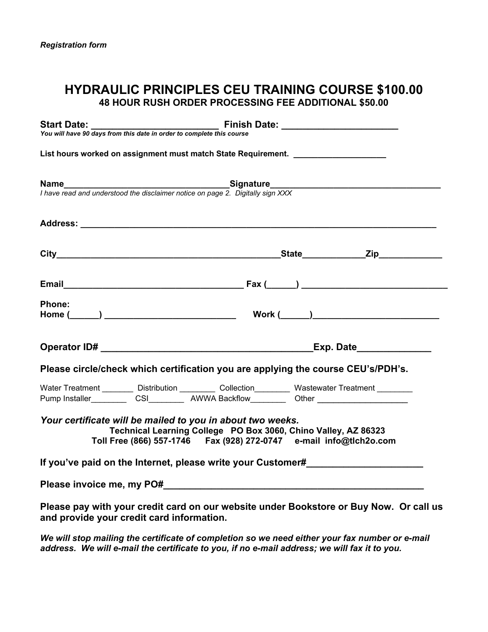# **HYDRAULIC PRINCIPLES CEU TRAINING COURSE \$100.00 48 HOUR RUSH ORDER PROCESSING FEE ADDITIONAL \$50.00**

|                                           |                                                            | Start Date: <u>Canadian Biller Computer of Cinish Date:</u> Canadian Provision Provision Provision Provision Provision<br>You will have 90 days from this date in order to complete this course                               |
|-------------------------------------------|------------------------------------------------------------|-------------------------------------------------------------------------------------------------------------------------------------------------------------------------------------------------------------------------------|
|                                           |                                                            | List hours worked on assignment must match State Requirement. __________________                                                                                                                                              |
|                                           |                                                            | <b>Name</b><br>I have read and understood the disclaimer notice on page 2. Digitally sign XXX                                                                                                                                 |
|                                           |                                                            |                                                                                                                                                                                                                               |
|                                           |                                                            |                                                                                                                                                                                                                               |
|                                           |                                                            |                                                                                                                                                                                                                               |
| Phone:                                    |                                                            |                                                                                                                                                                                                                               |
|                                           |                                                            |                                                                                                                                                                                                                               |
|                                           |                                                            | Please circle/check which certification you are applying the course CEU's/PDH's.                                                                                                                                              |
|                                           |                                                            | Water Treatment _________ Distribution _________ Collection________ Wastewater Treatment ________<br>Pump Installer___________CSI___________ AWWA Backflow___________Other ______________________                             |
|                                           | Your certificate will be mailed to you in about two weeks. | Technical Learning College PO Box 3060, Chino Valley, AZ 86323<br>Toll Free (866) 557-1746    Fax (928) 272-0747    e-mail info@tlch2o.com                                                                                    |
|                                           |                                                            | If you've paid on the Internet, please write your Customer#                                                                                                                                                                   |
|                                           |                                                            | Please invoice me, my PO# example and a series of the series of the series of the series of the series of the series of the series of the series of the series of the series of the series of the series of the series of the |
| and provide your credit card information. |                                                            | Please pay with your credit card on our website under Bookstore or Buy Now. Or call us                                                                                                                                        |

*We will stop mailing the certificate of completion so we need either your fax number or e-mail address. We will e-mail the certificate to you, if no e-mail address; we will fax it to you.*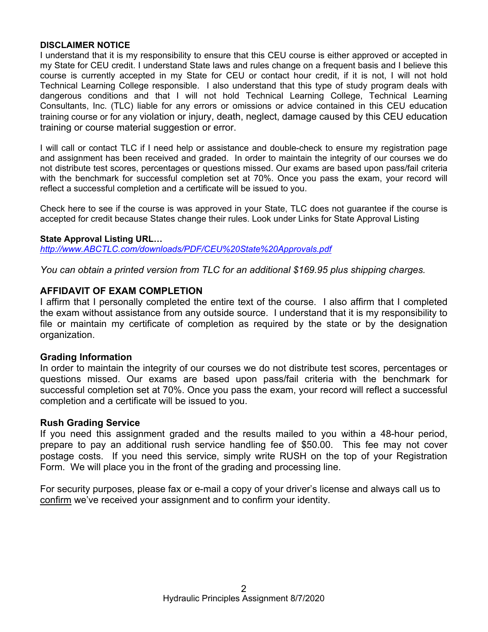#### **DISCLAIMER NOTICE**

I understand that it is my responsibility to ensure that this CEU course is either approved or accepted in my State for CEU credit. I understand State laws and rules change on a frequent basis and I believe this course is currently accepted in my State for CEU or contact hour credit, if it is not, I will not hold Technical Learning College responsible. I also understand that this type of study program deals with dangerous conditions and that I will not hold Technical Learning College, Technical Learning Consultants, Inc. (TLC) liable for any errors or omissions or advice contained in this CEU education training course or for any violation or injury, death, neglect, damage caused by this CEU education training or course material suggestion or error.

I will call or contact TLC if I need help or assistance and double-check to ensure my registration page and assignment has been received and graded. In order to maintain the integrity of our courses we do not distribute test scores, percentages or questions missed. Our exams are based upon pass/fail criteria with the benchmark for successful completion set at 70%. Once you pass the exam, your record will reflect a successful completion and a certificate will be issued to you.

Check here to see if the course is was approved in your State, TLC does not guarantee if the course is accepted for credit because States change their rules. Look under Links for State Approval Listing

#### **State Approval Listing URL…**

*<http://www.ABCTLC.com/downloads/PDF/CEU%20State%20Approvals.pdf>*

*You can obtain a printed version from TLC for an additional \$169.95 plus shipping charges.* 

#### **AFFIDAVIT OF EXAM COMPLETION**

I affirm that I personally completed the entire text of the course. I also affirm that I completed the exam without assistance from any outside source. I understand that it is my responsibility to file or maintain my certificate of completion as required by the state or by the designation organization.

#### **Grading Information**

In order to maintain the integrity of our courses we do not distribute test scores, percentages or questions missed. Our exams are based upon pass/fail criteria with the benchmark for successful completion set at 70%. Once you pass the exam, your record will reflect a successful completion and a certificate will be issued to you.

#### **Rush Grading Service**

If you need this assignment graded and the results mailed to you within a 48-hour period, prepare to pay an additional rush service handling fee of \$50.00. This fee may not cover postage costs. If you need this service, simply write RUSH on the top of your Registration Form. We will place you in the front of the grading and processing line.

For security purposes, please fax or e-mail a copy of your driver's license and always call us to confirm we've received your assignment and to confirm your identity.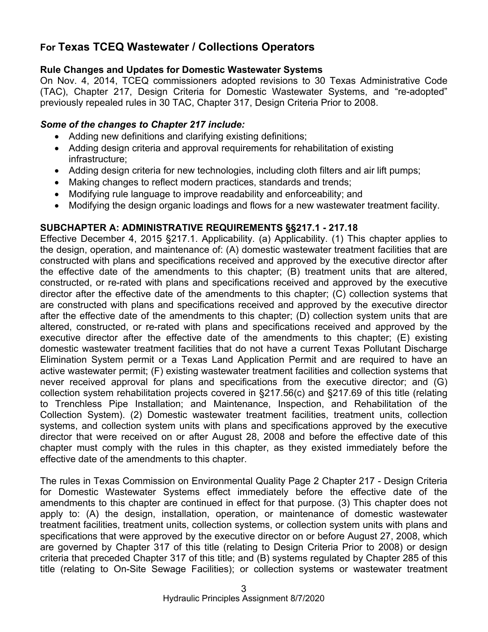# **For Texas TCEQ Wastewater / Collections Operators**

# **Rule Changes and Updates for Domestic Wastewater Systems**

On Nov. 4, 2014, TCEQ commissioners adopted revisions to 30 Texas Administrative Code (TAC), Chapter 217, Design Criteria for Domestic Wastewater Systems, and "re-adopted" previously repealed rules in 30 TAC, Chapter 317, Design Criteria Prior to 2008.

# *Some of the changes to Chapter 217 include:*

- Adding new definitions and clarifying existing definitions;
- Adding design criteria and approval requirements for rehabilitation of existing infrastructure;
- Adding design criteria for new technologies, including cloth filters and air lift pumps;
- Making changes to reflect modern practices, standards and trends;
- Modifying rule language to improve readability and enforceability; and
- Modifying the design organic loadings and flows for a new wastewater treatment facility.

# **SUBCHAPTER A: ADMINISTRATIVE REQUIREMENTS §§217.1 - 217.18**

Effective December 4, 2015 §217.1. Applicability. (a) Applicability. (1) This chapter applies to the design, operation, and maintenance of: (A) domestic wastewater treatment facilities that are constructed with plans and specifications received and approved by the executive director after the effective date of the amendments to this chapter; (B) treatment units that are altered, constructed, or re-rated with plans and specifications received and approved by the executive director after the effective date of the amendments to this chapter; (C) collection systems that are constructed with plans and specifications received and approved by the executive director after the effective date of the amendments to this chapter; (D) collection system units that are altered, constructed, or re-rated with plans and specifications received and approved by the executive director after the effective date of the amendments to this chapter; (E) existing domestic wastewater treatment facilities that do not have a current Texas Pollutant Discharge Elimination System permit or a Texas Land Application Permit and are required to have an active wastewater permit; (F) existing wastewater treatment facilities and collection systems that never received approval for plans and specifications from the executive director; and (G) collection system rehabilitation projects covered in §217.56(c) and §217.69 of this title (relating to Trenchless Pipe Installation; and Maintenance, Inspection, and Rehabilitation of the Collection System). (2) Domestic wastewater treatment facilities, treatment units, collection systems, and collection system units with plans and specifications approved by the executive director that were received on or after August 28, 2008 and before the effective date of this chapter must comply with the rules in this chapter, as they existed immediately before the effective date of the amendments to this chapter.

The rules in Texas Commission on Environmental Quality Page 2 Chapter 217 - Design Criteria for Domestic Wastewater Systems effect immediately before the effective date of the amendments to this chapter are continued in effect for that purpose. (3) This chapter does not apply to: (A) the design, installation, operation, or maintenance of domestic wastewater treatment facilities, treatment units, collection systems, or collection system units with plans and specifications that were approved by the executive director on or before August 27, 2008, which are governed by Chapter 317 of this title (relating to Design Criteria Prior to 2008) or design criteria that preceded Chapter 317 of this title; and (B) systems regulated by Chapter 285 of this title (relating to On-Site Sewage Facilities); or collection systems or wastewater treatment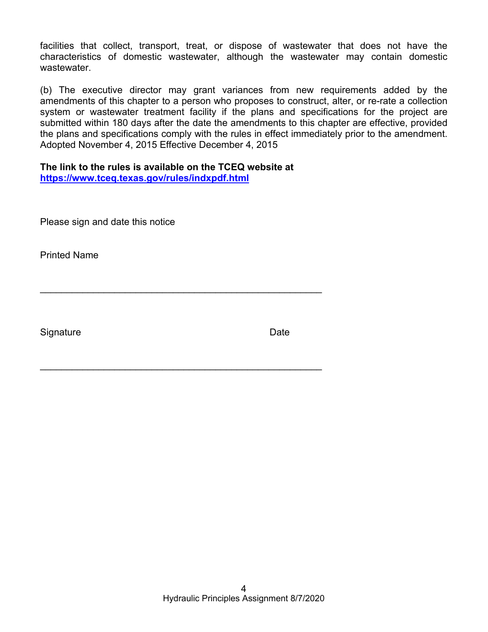facilities that collect, transport, treat, or dispose of wastewater that does not have the characteristics of domestic wastewater, although the wastewater may contain domestic wastewater.

(b) The executive director may grant variances from new requirements added by the amendments of this chapter to a person who proposes to construct, alter, or re-rate a collection system or wastewater treatment facility if the plans and specifications for the project are submitted within 180 days after the date the amendments to this chapter are effective, provided the plans and specifications comply with the rules in effect immediately prior to the amendment. Adopted November 4, 2015 Effective December 4, 2015

# **The link to the rules is available on the TCEQ website at**

 $\mathcal{L}_\text{max}$  , and the contract of the contract of the contract of the contract of the contract of the contract of the contract of the contract of the contract of the contract of the contract of the contract of the contr

\_\_\_\_\_\_\_\_\_\_\_\_\_\_\_\_\_\_\_\_\_\_\_\_\_\_\_\_\_\_\_\_\_\_\_\_\_\_\_\_\_\_\_\_\_\_\_\_\_\_\_\_\_

**<https://www.tceq.texas.gov/rules/indxpdf.html>**

Please sign and date this notice

Printed Name

Signature Date **Date**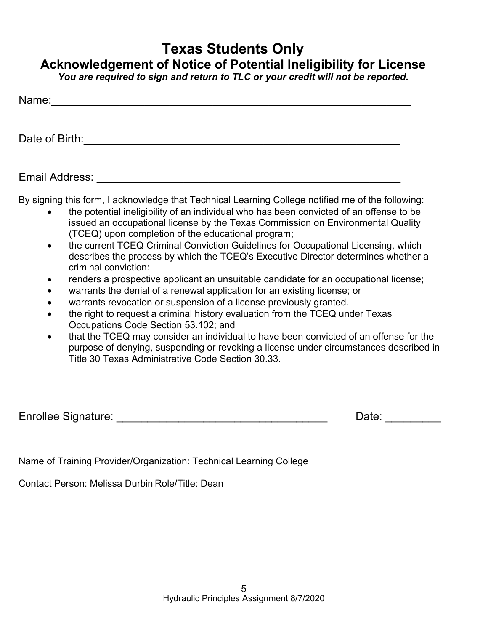# **Texas Students Only**

# **Acknowledgement of Notice of Potential Ineligibility for License**

*You are required to sign and return to TLC or your credit will not be reported.* 

| Name: |  |  |  |
|-------|--|--|--|
|       |  |  |  |

Date of Birth:\_\_\_\_\_\_\_\_\_\_\_\_\_\_\_\_\_\_\_\_\_\_\_\_\_\_\_\_\_\_\_\_\_\_\_\_\_\_\_\_\_\_\_\_\_\_\_\_\_\_\_

Email Address: \_\_\_\_\_\_\_\_\_\_\_\_\_\_\_\_\_\_\_\_\_\_\_\_\_\_\_\_\_\_\_\_\_\_\_\_\_\_\_\_\_\_\_\_\_\_\_\_\_

By signing this form, I acknowledge that Technical Learning College notified me of the following:

- the potential ineligibility of an individual who has been convicted of an offense to be issued an occupational license by the Texas Commission on Environmental Quality (TCEQ) upon completion of the educational program;
- the current TCEQ Criminal Conviction Guidelines for Occupational Licensing, which describes the process by which the TCEQ's Executive Director determines whether a criminal conviction:
- renders a prospective applicant an unsuitable candidate for an occupational license;
- warrants the denial of a renewal application for an existing license; or
- warrants revocation or suspension of a license previously granted.
- the right to request a criminal history evaluation from the TCEQ under Texas Occupations Code Section 53.102; and
- that the TCEQ may consider an individual to have been convicted of an offense for the purpose of denying, suspending or revoking a license under circumstances described in Title 30 Texas Administrative Code Section 30.33.

Enrollee Signature: et al. 2016 and 2017 and 2018 and 2018 and 2018 and 2018 and 2018 and 2018 and 2018 and 20

Name of Training Provider/Organization: Technical Learning College

Contact Person: Melissa Durbin Role/Title: Dean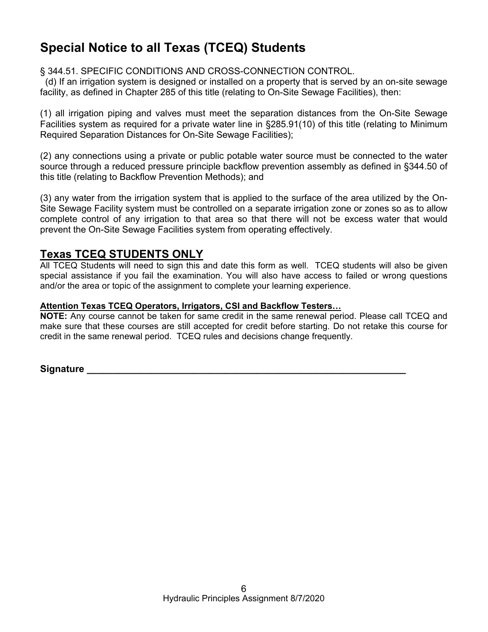# **Special Notice to all Texas (TCEQ) Students**

# § 344.51. SPECIFIC CONDITIONS AND CROSS-CONNECTION CONTROL.

 (d) If an irrigation system is designed or installed on a property that is served by an on-site sewage facility, as defined in Chapter 285 of this title (relating to On-Site Sewage Facilities), then:

(1) all irrigation piping and valves must meet the separation distances from the On-Site Sewage Facilities system as required for a private water line in §285.91(10) of this title (relating to Minimum Required Separation Distances for On-Site Sewage Facilities);

(2) any connections using a private or public potable water source must be connected to the water source through a reduced pressure principle backflow prevention assembly as defined in §344.50 of this title (relating to Backflow Prevention Methods); and

(3) any water from the irrigation system that is applied to the surface of the area utilized by the On-Site Sewage Facility system must be controlled on a separate irrigation zone or zones so as to allow complete control of any irrigation to that area so that there will not be excess water that would prevent the On-Site Sewage Facilities system from operating effectively.

# **Texas TCEQ STUDENTS ONLY**

All TCEQ Students will need to sign this and date this form as well. TCEQ students will also be given special assistance if you fail the examination. You will also have access to failed or wrong questions and/or the area or topic of the assignment to complete your learning experience.

# **Attention Texas TCEQ Operators, Irrigators, CSI and Backflow Testers…**

**NOTE:** Any course cannot be taken for same credit in the same renewal period. Please call TCEQ and make sure that these courses are still accepted for credit before starting. Do not retake this course for credit in the same renewal period. TCEQ rules and decisions change frequently.

**Signature**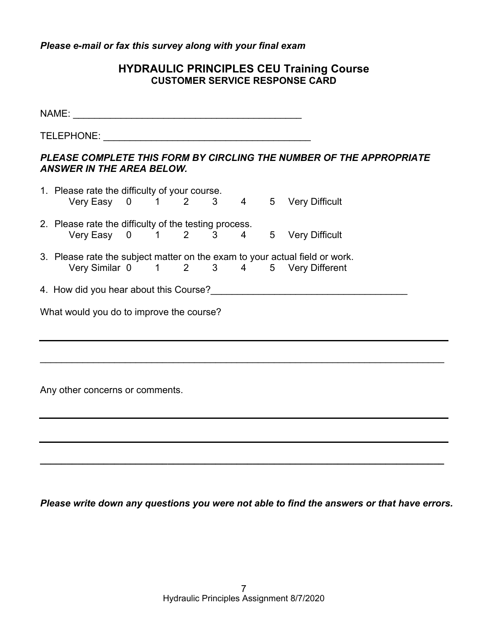*Please e-mail or fax this survey along with your final exam* 

# **HYDRAULIC PRINCIPLES CEU Training Course CUSTOMER SERVICE RESPONSE CARD**

| <b>ANSWER IN THE AREA BELOW.</b>                      |  |  |  |  |  | PLEASE COMPLETE THIS FORM BY CIRCLING THE NUMBER OF THE APPROPRIATE                                                    |  |
|-------------------------------------------------------|--|--|--|--|--|------------------------------------------------------------------------------------------------------------------------|--|
| 1. Please rate the difficulty of your course.         |  |  |  |  |  | Very Easy 0 1 2 3 4 5 Very Difficult                                                                                   |  |
| 2. Please rate the difficulty of the testing process. |  |  |  |  |  | Very Easy 0 1 2 3 4 5 Very Difficult                                                                                   |  |
|                                                       |  |  |  |  |  | 3. Please rate the subject matter on the exam to your actual field or work.<br>Very Similar 0 1 2 3 4 5 Very Different |  |
|                                                       |  |  |  |  |  | 4. How did you hear about this Course?                                                                                 |  |
| What would you do to improve the course?              |  |  |  |  |  |                                                                                                                        |  |
|                                                       |  |  |  |  |  |                                                                                                                        |  |
|                                                       |  |  |  |  |  |                                                                                                                        |  |
| Any other concerns or comments.                       |  |  |  |  |  |                                                                                                                        |  |
|                                                       |  |  |  |  |  |                                                                                                                        |  |
|                                                       |  |  |  |  |  |                                                                                                                        |  |
|                                                       |  |  |  |  |  |                                                                                                                        |  |

*Please write down any questions you were not able to find the answers or that have errors.*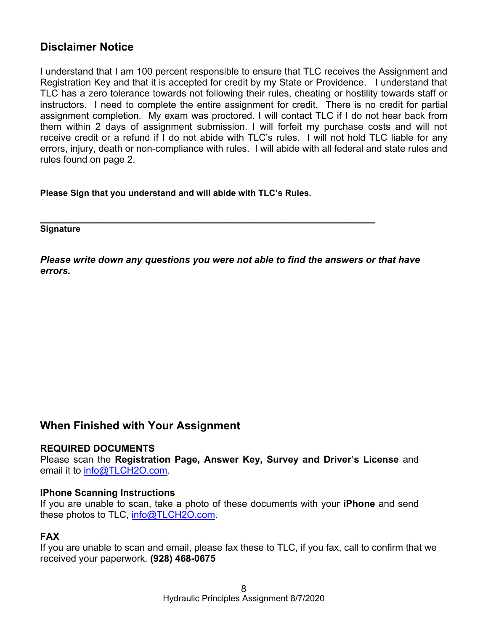# **Disclaimer Notice**

I understand that I am 100 percent responsible to ensure that TLC receives the Assignment and Registration Key and that it is accepted for credit by my State or Providence. I understand that TLC has a zero tolerance towards not following their rules, cheating or hostility towards staff or instructors. I need to complete the entire assignment for credit. There is no credit for partial assignment completion. My exam was proctored. I will contact TLC if I do not hear back from them within 2 days of assignment submission. I will forfeit my purchase costs and will not receive credit or a refund if I do not abide with TLC's rules. I will not hold TLC liable for any errors, injury, death or non-compliance with rules. I will abide with all federal and state rules and rules found on page 2.

**Please Sign that you understand and will abide with TLC's Rules.** 

**\_\_\_\_\_\_\_\_\_\_\_\_\_\_\_\_\_\_\_\_\_\_\_\_\_\_\_\_\_\_\_\_\_\_\_\_\_\_\_\_\_\_\_\_\_\_\_\_\_\_\_\_\_\_ Signature** 

*Please write down any questions you were not able to find the answers or that have errors.* 

# **When Finished with Your Assignment**

#### **REQUIRED DOCUMENTS**

Please scan the **Registration Page, Answer Key, Survey and Driver's License** and email it to [info@TLCH2O.com.](mailto:info@TLCH2O.com) 

#### **IPhone Scanning Instructions**

If you are unable to scan, take a photo of these documents with your **iPhone** and send these photos to TLC, [info@TLCH2O.com.](mailto:info@TLCH2O.com) 

# **FAX**

If you are unable to scan and email, please fax these to TLC, if you fax, call to confirm that we received your paperwork. **(928) 468-0675**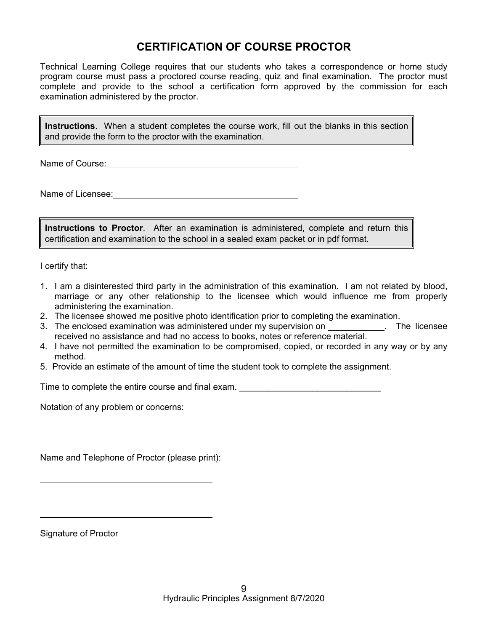# **CERTIFICATION OF COURSE PROCTOR**

Technical Learning College requires that our students who takes a correspondence or home study program course must pass a proctored course reading, quiz and final examination. The proctor must complete and provide to the school a certification form approved by the commission for each examination administered by the proctor.

**Instructions**. When a student completes the course work, fill out the blanks in this section and provide the form to the proctor with the examination.

Name of Course:  $\blacksquare$ 

Name of Licensee:

**Instructions to Proctor**. After an examination is administered, complete and return this certification and examination to the school in a sealed exam packet or in pdf format.

I certify that:

- 1. I am a disinterested third party in the administration of this examination. I am not related by blood, marriage or any other relationship to the licensee which would influence me from properly administering the examination.
- 2. The licensee showed me positive photo identification prior to completing the examination.
- 3. The enclosed examination was administered under my supervision on . The licensee received no assistance and had no access to books, notes or reference material.
- 4. I have not permitted the examination to be compromised, copied, or recorded in any way or by any method.
- 5. Provide an estimate of the amount of time the student took to complete the assignment.

Time to complete the entire course and final exam.

Notation of any problem or concerns:

Name and Telephone of Proctor (please print):

Signature of Proctor

 $\overline{a}$ 

 $\overline{a}$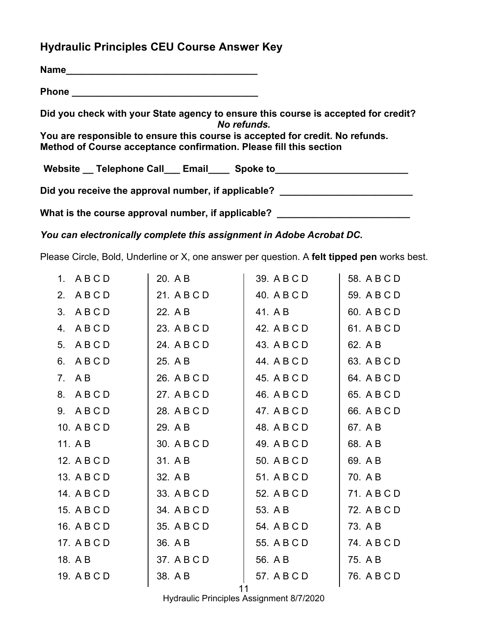# **Hydraulic Principles CEU Course Answer Key**

| Name                                                                                                                                                |
|-----------------------------------------------------------------------------------------------------------------------------------------------------|
|                                                                                                                                                     |
| Did you check with your State agency to ensure this course is accepted for credit?<br>No refunds.                                                   |
| You are responsible to ensure this course is accepted for credit. No refunds.<br>Method of Course acceptance confirmation. Please fill this section |
| Website __ Telephone Call ___ Email ____ Spoke to ______________________________                                                                    |
| Did you receive the approval number, if applicable?                                                                                                 |
| What is the course approval number, if applicable?                                                                                                  |

*You can electronically complete this assignment in Adobe Acrobat DC.* 

Please Circle, Bold, Underline or X, one answer per question. A **felt tipped pen** works best.

| 1. ABCD     | 20. A B     | 39. A B C D | 58. A B C D |
|-------------|-------------|-------------|-------------|
| 2. ABCD     | 21. A B C D | 40. A B C D | 59. A B C D |
| 3. ABCD     | 22. A B     | 41. A B     | 60. A B C D |
| 4. ABCD     | 23. A B C D | 42. A B C D | 61. A B C D |
| 5. ABCD     | 24. A B C D | 43. A B C D | 62. A B     |
| 6. ABCD     | 25. A B     | 44. A B C D | 63. A B C D |
| 7. A B      | 26. A B C D | 45. A B C D | 64. A B C D |
| 8. ABCD     | 27. A B C D | 46. A B C D | 65. A B C D |
| 9. ABCD     | 28. A B C D | 47. A B C D | 66. A B C D |
| 10. A B C D | 29. A B     | 48. A B C D | 67. A B     |
| 11. A B     | 30. A B C D | 49. A B C D | 68. A B     |
| 12. A B C D | 31. A B     | 50. A B C D | 69. A B     |
| 13. A B C D | 32. A B     | 51. A B C D | 70. A B     |
| 14. A B C D | 33. A B C D | 52. A B C D | 71. A B C D |
| 15. A B C D | 34. A B C D | 53. A B     | 72. A B C D |
| 16. A B C D | 35. A B C D | 54. A B C D | 73. A B     |
| 17. A B C D | 36. AB      | 55. A B C D | 74. A B C D |
| 18. A B     | 37. A B C D | 56. A B     | 75. A B     |
| 19. A B C D | 38. A B     | 57. A B C D | 76. A B C D |
|             |             |             |             |

11

Hydraulic Principles Assignment 8/7/2020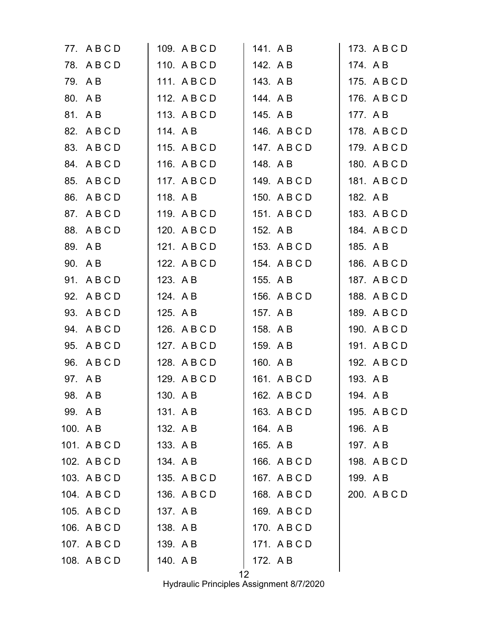|          | 77. ABCD     | 109. A B C D | 141. AB      | 173. A B C D |
|----------|--------------|--------------|--------------|--------------|
|          | 78. ABCD     | 110. A B C D | 142. AB      | 174. AB      |
|          | 79. AB       | 111. ABCD    | 143. A B     | 175. A B C D |
|          | 80. A B      | 112. A B C D | 144. AB      | 176. A B C D |
|          | 81. AB       | 113. A B C D | 145. A B     | 177. AB      |
|          | 82. A B C D  | 114. AB      | 146. A B C D | 178. A B C D |
|          | 83. A B C D  | 115. A B C D | 147. A B C D | 179. A B C D |
|          | 84. A B C D  | 116. A B C D | 148. A B     | 180. A B C D |
| 85.      | ABCD         | 117. ABCD    | 149. A B C D | 181. A B C D |
| 86.      | ABCD         | 118. A B     | 150. A B C D | 182. A B     |
|          | 87. A B C D  | 119. ABCD    | 151. ABCD    | 183. A B C D |
|          | 88. ABCD     | 120. A B C D | 152. A B     | 184. A B C D |
|          | 89. AB       | 121. A B C D | 153. A B C D | 185. A B     |
|          | 90. A B      | 122. A B C D | 154. A B C D | 186. A B C D |
|          | 91. ABCD     | 123. AB      | 155. A B     | 187. A B C D |
|          | 92. A B C D  | 124. AB      | 156. A B C D | 188. A B C D |
|          | 93. A B C D  | 125. A B     | 157. A B     | 189. A B C D |
|          | 94. A B C D  | 126. A B C D | 158. A B     | 190. A B C D |
|          | 95. A B C D  | 127. A B C D | 159. A B     | 191. A B C D |
|          | 96. A B C D  | 128. A B C D | 160. AB      | 192. A B C D |
|          | 97. AB       | 129. A B C D | 161. ABCD    | 193. A B     |
|          | 98. AB       | 130. A B     | 162. A B C D | 194. AB      |
| 99. A B  |              | 131. AB      | 163. A B C D | 195. A B C D |
| 100. A B |              | 132. A B     | 164. A B     | 196. A B     |
|          | 101. ABCD    | 133. A B     | 165. A B     | 197. AB      |
|          | 102. A B C D | 134. AB      | 166. A B C D | 198. A B C D |
|          | 103. A B C D | 135. ABCD    | 167. A B C D | 199. AB      |
|          | 104. A B C D | 136. A B C D | 168. A B C D | 200. A B C D |
|          | 105. ABCD    | 137. AB      | 169. A B C D |              |
|          | 106. A B C D | 138. A B     | 170. A B C D |              |
|          | 107. ABCD    | 139. A B     | 171. ABCD    |              |
|          | 108. A B C D | 140. A B     | 172. A B     |              |
|          |              | 12           |              |              |

Hydraulic Principles Assignment 8/7/2020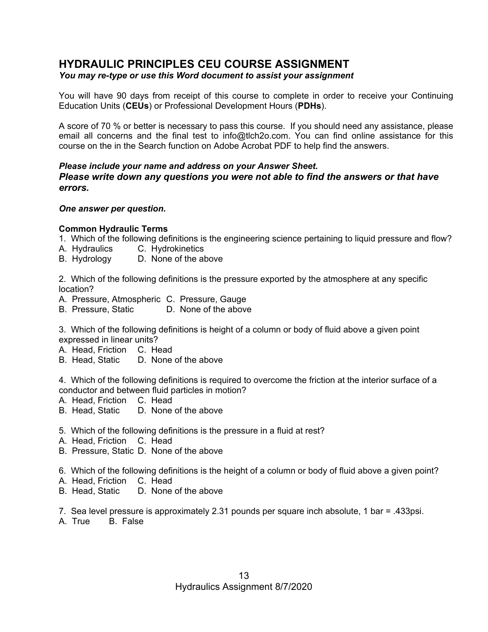# **HYDRAULIC PRINCIPLES CEU COURSE ASSIGNMENT**

## *You may re-type or use this Word document to assist your assignment*

You will have 90 days from receipt of this course to complete in order to receive your Continuing Education Units (**CEUs**) or Professional Development Hours (**PDHs**).

A score of 70 % or better is necessary to pass this course. If you should need any assistance, please email all concerns and the final test to [info@tlch2o.com. Y](mailto:info@tlch2o.com)ou can find online assistance for this course on the in the Search function on Adobe Acrobat PDF to help find the answers.

### *Please include your name and address on your Answer Sheet. Please write down any questions you were not able to find the answers or that have errors.*

## *One answer per question.*

## **Common Hydraulic Terms**

- 1. Which of the following definitions is the engineering science pertaining to liquid pressure and flow?
- A. Hydraulics C. Hydrokinetics
- B. Hydrology D. None of the above

2. Which of the following definitions is the pressure exported by the atmosphere at any specific location?

- A. Pressure, Atmospheric C. Pressure, Gauge
- B. Pressure, Static D. None of the above

3. Which of the following definitions is height of a column or body of fluid above a given point expressed in linear units?

- A. Head, Friction C. Head
- B. Head, Static D. None of the above

4. Which of the following definitions is required to overcome the friction at the interior surface of a conductor and between fluid particles in motion?

- A. Head, Friction C. Head
- B. Head, Static D. None of the above
- 5. Which of the following definitions is the pressure in a fluid at rest?
- A. Head, Friction C. Head
- B. Pressure, Static D. None of the above
- 6. Which of the following definitions is the height of a column or body of fluid above a given point?
- A. Head, Friction C. Head
- B. Head, Static D. None of the above

7. Sea level pressure is approximately 2.31 pounds per square inch absolute, 1 bar = .433psi.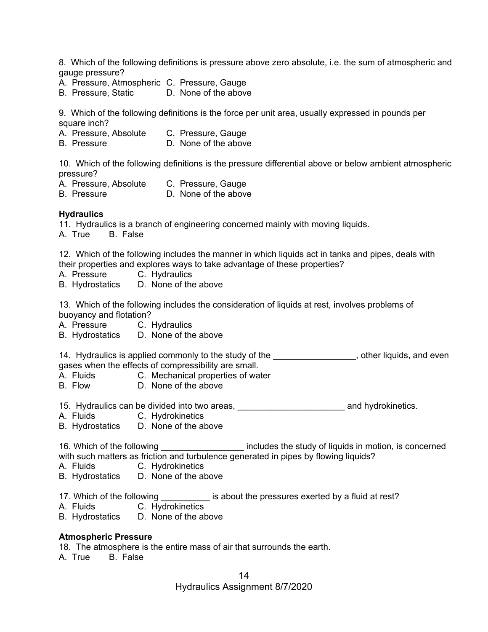8. Which of the following definitions is pressure above zero absolute, i.e. the sum of atmospheric and gauge pressure?

- A. Pressure, Atmospheric C. Pressure, Gauge
- B. Pressure, Static D. None of the above

9. Which of the following definitions is the force per unit area, usually expressed in pounds per square inch?

- A. Pressure, Absolute C. Pressure, Gauge
- B. Pressure D. None of the above

10. Which of the following definitions is the pressure differential above or below ambient atmospheric pressure?

- A. Pressure, Absolute C. Pressure, Gauge
- B. Pressure **D. None of the above**

#### **Hydraulics**

11. Hydraulics is a branch of engineering concerned mainly with moving liquids.

A. True B. False

12. Which of the following includes the manner in which liquids act in tanks and pipes, deals with their properties and explores ways to take advantage of these properties?

- A. Pressure C. Hydraulics
- B. Hydrostatics D. None of the above

13. Which of the following includes the consideration of liquids at rest, involves problems of buoyancy and flotation?

- A. Pressure C. Hydraulics
- B. Hydrostatics D. None of the above

14. Hydraulics is applied commonly to the study of the **component container the study**, other liquids, and even gases when the effects of compressibility are small.

- A. Fluids C. Mechanical properties of water
- B. Flow D. None of the above

15. Hydraulics can be divided into two areas, <u>entitled and example and hydrokinetics</u>.

- A. Fluids C. Hydrokinetics
- B. Hydrostatics D. None of the above

16. Which of the following \_\_\_\_\_\_\_\_\_\_\_\_\_\_\_\_\_\_\_\_ includes the study of liquids in motion, is concerned with such matters as friction and turbulence generated in pipes by flowing liquids?

- A. Fluids C. Hydrokinetics
- B. Hydrostatics D. None of the above
- 17. Which of the following is about the pressures exerted by a fluid at rest?
- A. Fluids C. Hydrokinetics
- B. Hydrostatics D. None of the above

#### **Atmospheric Pressure**

18. The atmosphere is the entire mass of air that surrounds the earth.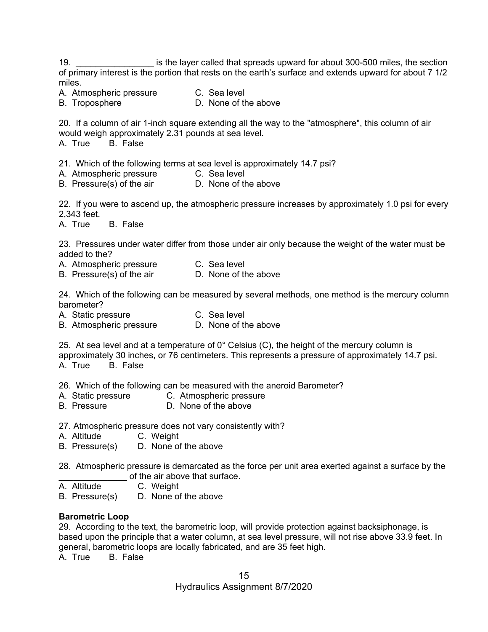19. \_\_\_\_\_\_\_\_\_\_\_\_\_\_\_\_ is the layer called that spreads upward for about 300-500 miles, the section of primary interest is the portion that rests on the earth's surface and extends upward for about 7 1/2 miles.

- A. Atmospheric pressure C. Sea level
- B. Troposphere **D.** None of the above

20. If a column of air 1-inch square extending all the way to the "atmosphere", this column of air would weigh approximately 2.31 pounds at sea level.

A. True B. False

21. Which of the following terms at sea level is approximately 14.7 psi?

- A. Atmospheric pressure C. Sea level
- B. Pressure(s) of the air **D.** None of the above

22. If you were to ascend up, the atmospheric pressure increases by approximately 1.0 psi for every 2,343 feet.

A. True B. False

23. Pressures under water differ from those under air only because the weight of the water must be added to the?

- A. Atmospheric pressure C. Sea level
- B. Pressure(s) of the air **D.** None of the above

24. Which of the following can be measured by several methods, one method is the mercury column barometer?

A. Static pressure C. Sea level

B. Atmospheric pressure D. None of the above

25. At sea level and at a temperature of  $0^{\circ}$  Celsius (C), the height of the mercury column is approximately 30 inches, or 76 centimeters. This represents a pressure of approximately 14.7 psi. A. True B. False

26. Which of the following can be measured with the aneroid Barometer?

- A. Static pressure C. Atmospheric pressure
- B. Pressure **D.** None of the above

27. Atmospheric pressure does not vary consistently with?

- A. Altitude C. Weight
- B. Pressure(s) D. None of the above

28. Atmospheric pressure is demarcated as the force per unit area exerted against a surface by the of the air above that surface.

- A. Altitude C. Weight
- B. Pressure(s) D. None of the above

#### **Barometric Loop**

29. According to the text, the barometric loop, will provide protection against backsiphonage, is based upon the principle that a water column, at sea level pressure, will not rise above 33.9 feet. In general, barometric loops are locally fabricated, and are 35 feet high.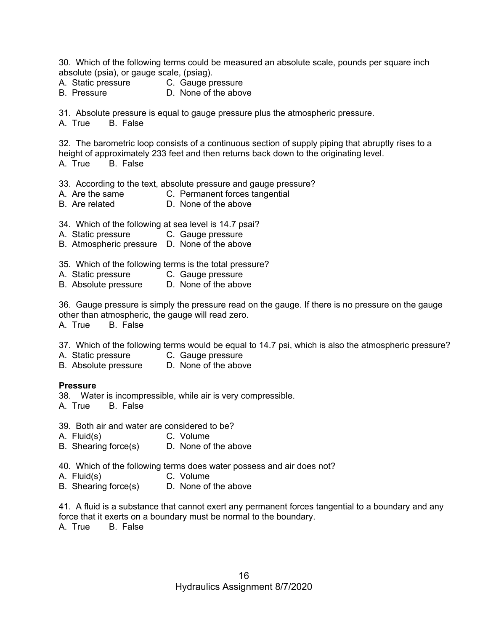30. Which of the following terms could be measured an absolute scale, pounds per square inch absolute (psia), or gauge scale, (psiag).

- A. Static pressure C. Gauge pressure
- 
- 
- B. Pressure **D. None of the above**

31. Absolute pressure is equal to gauge pressure plus the atmospheric pressure.

A. True B. False

32. The barometric loop consists of a continuous section of supply piping that abruptly rises to a height of approximately 233 feet and then returns back down to the originating level. A. True B. False

33. According to the text, absolute pressure and gauge pressure?

- A. Are the same C. Permanent forces tangential
- B. Are related D. None of the above
- 34. Which of the following at sea level is 14.7 psai?
- A. Static pressure C. Gauge pressure
- B. Atmospheric pressure D. None of the above

35. Which of the following terms is the total pressure?

- A. Static pressure C. Gauge pressure
- B. Absolute pressure D. None of the above

36. Gauge pressure is simply the pressure read on the gauge. If there is no pressure on the gauge other than atmospheric, the gauge will read zero.

A. True B. False

37. Which of the following terms would be equal to 14.7 psi, which is also the atmospheric pressure?

- A. Static pressure C. Gauge pressure
- B. Absolute pressure D. None of the above

#### **Pressure**

- 38. Water is incompressible, while air is very compressible.
- A. True B. False
- 39. Both air and water are considered to be?
- A. Fluid(s) C. Volume
- B. Shearing force(s) D. None of the above
- 40. Which of the following terms does water possess and air does not?
- A. Fluid(s) C. Volume
	-
- B. Shearing force(s) D. None of the above

41. A fluid is a substance that cannot exert any permanent forces tangential to a boundary and any force that it exerts on a boundary must be normal to the boundary.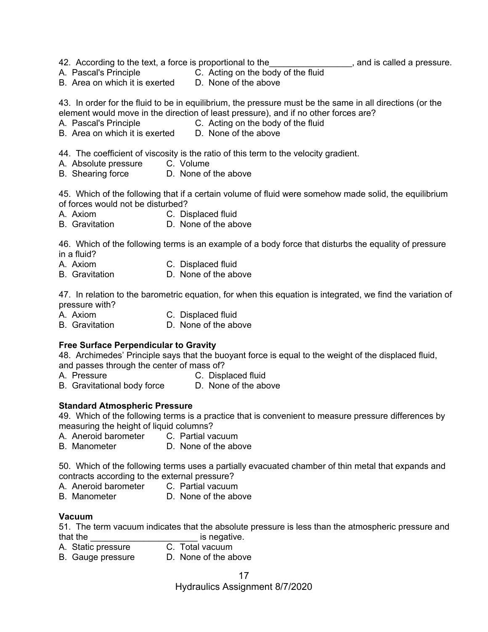- 42. According to the text, a force is proportional to the **witch the contract and is called a pressure**.
- A. Pascal's Principle C. Acting on the body of the fluid
- B. Area on which it is exerted D. None of the above

43. In order for the fluid to be in equilibrium, the pressure must be the same in all directions (or the element would move in the direction of least pressure), and if no other forces are?

- A. Pascal's Principle C. Acting on the body of the fluid
- B. Area on which it is exerted D. None of the above

44. The coefficient of viscosity is the ratio of this term to the velocity gradient.<br>A. Absolute pressure C. Volume

- A. Absolute pressure
- B. Shearing force D. None of the above

45. Which of the following that if a certain volume of fluid were somehow made solid, the equilibrium of forces would not be disturbed?

- A. Axiom C. Displaced fluid
- B. Gravitation D. None of the above

46. Which of the following terms is an example of a body force that disturbs the equality of pressure in a fluid?

- A. Axiom C. Displaced fluid
- B. Gravitation D. None of the above

47. In relation to the barometric equation, for when this equation is integrated, we find the variation of pressure with?

- A. Axiom C. Displaced fluid
- B. Gravitation D. None of the above

#### **Free Surface Perpendicular to Gravity**

48. Archimedes' Principle says that the buoyant force is equal to the weight of the displaced fluid, and passes through the center of mass of?

- A. Pressure C. Displaced fluid
- B. Gravitational body force D. None of the above

#### **Standard Atmospheric Pressure**

49. Which of the following terms is a practice that is convenient to measure pressure differences by measuring the height of liquid columns?

- A. Aneroid barometer C. Partial vacuum
- B. Manometer D. None of the above

50. Which of the following terms uses a partially evacuated chamber of thin metal that expands and contracts according to the external pressure?

- A. Aneroid barometer C. Partial vacuum
- B. Manometer D. None of the above

#### **Vacuum**

51. The term vacuum indicates that the absolute pressure is less than the atmospheric pressure and that the  $\frac{1}{2}$  is negative.<br>A. Static pressure C. Total vacuum

- A. Static pressure
- B. Gauge pressure D. None of the above

Hydraulics Assignment 8/7/2020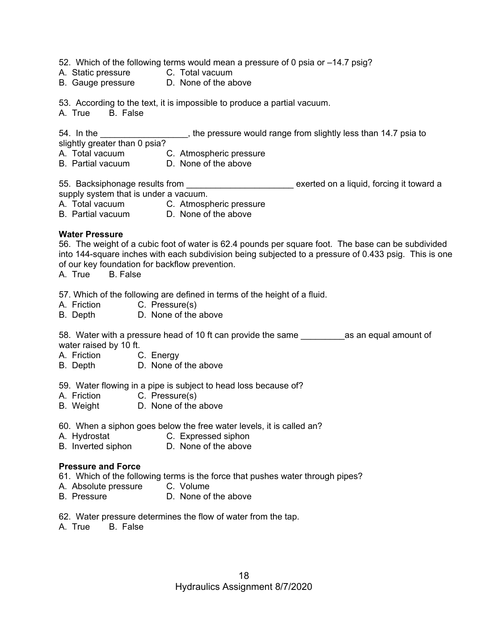52. Which of the following terms would mean a pressure of 0 psia or –14.7 psig?

- A. Static pressure C. Total vacuum
- B. Gauge pressure D. None of the above

53. According to the text, it is impossible to produce a partial vacuum.

A. True B. False

54. In the **the community interpressure would range from slightly less than 14.7 psia to** slightly greater than 0 psia?

A. Total vacuum C. Atmospheric pressure

B. Partial vacuum D. None of the above

55. Backsiphonage results from **Exercise 10** exerted on a liquid, forcing it toward a

supply system that is under a vacuum.

A. Total vacuum C. Atmospheric pressure

B. Partial vacuum D. None of the above

#### **Water Pressure**

56. The weight of a cubic foot of water is 62.4 pounds per square foot. The base can be subdivided into 144-square inches with each subdivision being subjected to a pressure of 0.433 psig. This is one of our key foundation for backflow prevention.

A. True B. False

57. Which of the following are defined in terms of the height of a fluid.

- A. Friction C. Pressure(s)
- B. Depth D. None of the above

58. Water with a pressure head of 10 ft can provide the same equal amount of water raised by 10 ft.

- A. Friction C. Energy
- B. Depth D. None of the above

59. Water flowing in a pipe is subject to head loss because of?

- A. Friction C. Pressure(s)
- B. Weight D. None of the above
- 60. When a siphon goes below the free water levels, it is called an?
- A. Hydrostat C. Expressed siphon
- B. Inverted siphon D. None of the above

#### **Pressure and Force**

61. Which of the following terms is the force that pushes water through pipes?

- A. Absolute pressure C. Volume
- B. Pressure **D. None of the above**
- 62. Water pressure determines the flow of water from the tap.
- A. True B. False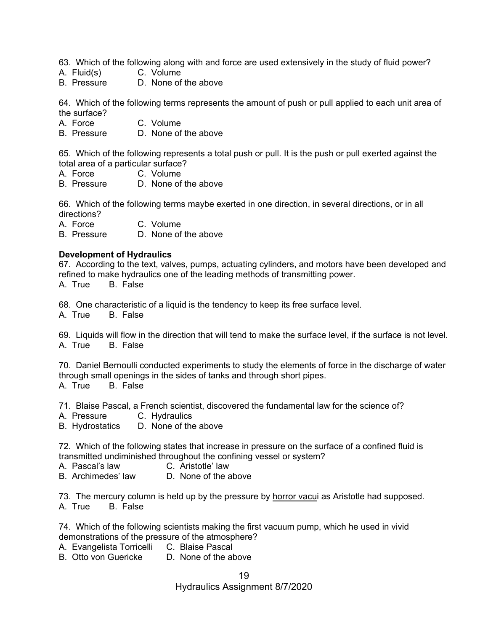63. Which of the following along with and force are used extensively in the study of fluid power?

- A. Fluid(s) C. Volume
- B. Pressure D. None of the above

64. Which of the following terms represents the amount of push or pull applied to each unit area of the surface?

- A. Force C. Volume
- B. Pressure D. None of the above

65. Which of the following represents a total push or pull. It is the push or pull exerted against the total area of a particular surface?

- A. Force C. Volume
- B. Pressure D. None of the above

66. Which of the following terms maybe exerted in one direction, in several directions, or in all directions?

A. Force C. Volume

B. Pressure D. None of the above

#### **Development of Hydraulics**

67. According to the text, valves, pumps, actuating cylinders, and motors have been developed and refined to make hydraulics one of the leading methods of transmitting power. A. True B. False

68. One characteristic of a liquid is the tendency to keep its free surface level.

A. True B. False

69. Liquids will flow in the direction that will tend to make the surface level, if the surface is not level. A. True B. False

70. Daniel Bernoulli conducted experiments to study the elements of force in the discharge of water through small openings in the sides of tanks and through short pipes. A. True B. False

71. Blaise Pascal, a French scientist, discovered the fundamental law for the science of?

A. Pressure C. Hydraulics

B. Hydrostatics D. None of the above

72. Which of the following states that increase in pressure on the surface of a confined fluid is transmitted undiminished throughout the confining vessel or system?

- A. Pascal's law C. Aristotle' law<br>B. Archimedes' law D. None of the a
- D. None of the above

73. The mercury column is held up by the pressure by horror vacui as Aristotle had supposed. A. True B. False

74. Which of the following scientists making the first vacuum pump, which he used in vivid demonstrations of the pressure of the atmosphere?

- A. Evangelista Torricelli C. Blaise Pascal
- B. Otto von Guericke D. None of the above

19 Hydraulics Assignment 8/7/2020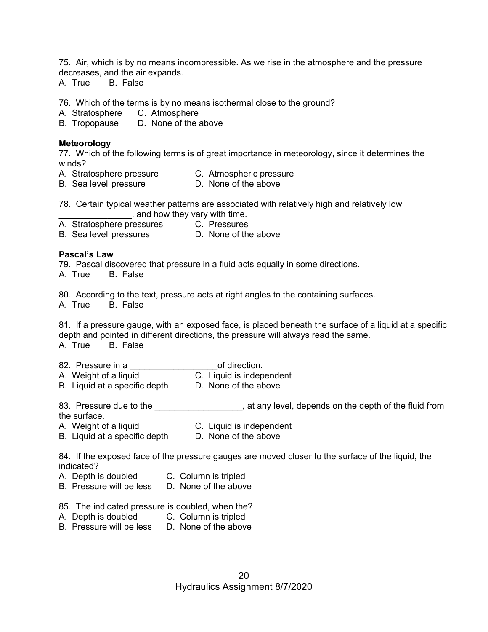75. Air, which is by no means incompressible. As we rise in the atmosphere and the pressure decreases, and the air expands.

A. True B. False

76. Which of the terms is by no means isothermal close to the ground?

A. Stratosphere C. Atmosphere

B. Tropopause D. None of the above

#### **Meteorology**

77. Which of the following terms is of great importance in meteorology, since it determines the winds?

- A. Stratosphere pressure C. Atmospheric pressure
- B. Sea level pressure D. None of the above

78. Certain typical weather patterns are associated with relatively high and relatively low **with the same of the same of the vary with time.** 

A. Stratosphere pressures C. Pressures<br>
B. Sea level pressures D. None of the above B. Sea level pressures

#### **Pascal's Law**

79. Pascal discovered that pressure in a fluid acts equally in some directions.

A. True B. False

80. According to the text, pressure acts at right angles to the containing surfaces.

A. True B. False

81. If a pressure gauge, with an exposed face, is placed beneath the surface of a liquid at a specific depth and pointed in different directions, the pressure will always read the same. A. True B. False

| 82. Pressure in a                                     | of direction.                |
|-------------------------------------------------------|------------------------------|
| A. Weight of a liquid                                 | C. Liquid is independent     |
| <b>D</b> I have the lattern and a state of the settle | <b>D</b> March of the change |

B. Liquid at a specific depth D. None of the above

83. Pressure due to the \_\_\_\_\_\_\_\_\_\_\_\_\_\_\_\_\_\_, at any level, depends on the depth of the fluid from the surface.

- A. Weight of a liquid C. Liquid is independent
- B. Liquid at a specific depth D. None of the above

84. If the exposed face of the pressure gauges are moved closer to the surface of the liquid, the indicated?

- A. Depth is doubled C. Column is tripled
- B. Pressure will be less D. None of the above
- 85. The indicated pressure is doubled, when the?
- A. Depth is doubled C. Column is tripled
- B. Pressure will be less D. None of the above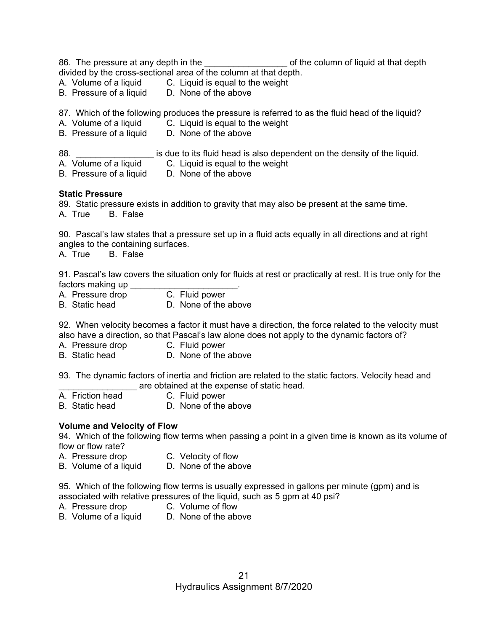|     | divided by the cross-sectional area of the column at that depth.<br>A. Volume of a liquid C. Liquid is equal to the weight<br>B. Pressure of a liquid D. None of the above                                                                                                   |                                                                          | of the column of liquid at that depth |  |
|-----|------------------------------------------------------------------------------------------------------------------------------------------------------------------------------------------------------------------------------------------------------------------------------|--------------------------------------------------------------------------|---------------------------------------|--|
|     | 87. Which of the following produces the pressure is referred to as the fluid head of the liquid?<br>A. Volume of a liquid C. Liquid is equal to the weight<br>B. Pressure of a liquid D. None of the above                                                                   |                                                                          |                                       |  |
| 88. | A. Volume of a liquid C. Liquid is equal to the weight<br>B. Pressure of a liquid D. None of the above                                                                                                                                                                       | is due to its fluid head is also dependent on the density of the liquid. |                                       |  |
|     | <b>Static Pressure</b><br>89. Static pressure exists in addition to gravity that may also be present at the same time.<br>A. True B. False                                                                                                                                   |                                                                          |                                       |  |
|     | 90. Pascal's law states that a pressure set up in a fluid acts equally in all directions and at right<br>angles to the containing surfaces.<br>A. True B. False                                                                                                              |                                                                          |                                       |  |
|     | 91. Pascal's law covers the situation only for fluids at rest or practically at rest. It is true only for the<br>factors making up _______                                                                                                                                   |                                                                          |                                       |  |
|     | A. Pressure drop C. Fluid power<br>B. Static head                                                                                                                                                                                                                            | D. None of the above                                                     |                                       |  |
|     | 92. When velocity becomes a factor it must have a direction, the force related to the velocity must<br>also have a direction, so that Pascal's law alone does not apply to the dynamic factors of?<br>A. Pressure drop C. Fluid power<br>B. Static head D. None of the above |                                                                          |                                       |  |
|     | 93. The dynamic factors of inertia and friction are related to the static factors. Velocity head and                                                                                                                                                                         | are obtained at the expense of static head.                              |                                       |  |
|     | A. Friction head<br><b>B.</b> Static head                                                                                                                                                                                                                                    | C. Fluid power<br>D. None of the above                                   |                                       |  |
|     | <b>Volume and Velocity of Flow</b><br>94. Which of the following flow terms when passing a point in a given time is known as its volume of<br>flow or flow rate?                                                                                                             |                                                                          |                                       |  |
|     | A. Pressure drop<br>B. Volume of a liquid                                                                                                                                                                                                                                    | C. Velocity of flow<br>D. None of the above                              |                                       |  |
|     | 95. Which of the following flow terms is usually expressed in gallons per minute (gpm) and is<br>associated with relative pressures of the liquid, such as 5 gpm at 40 psi?<br>A. Pressure drop<br>B. Volume of a liquid                                                     | C. Volume of flow<br>D. None of the above                                |                                       |  |
|     |                                                                                                                                                                                                                                                                              |                                                                          |                                       |  |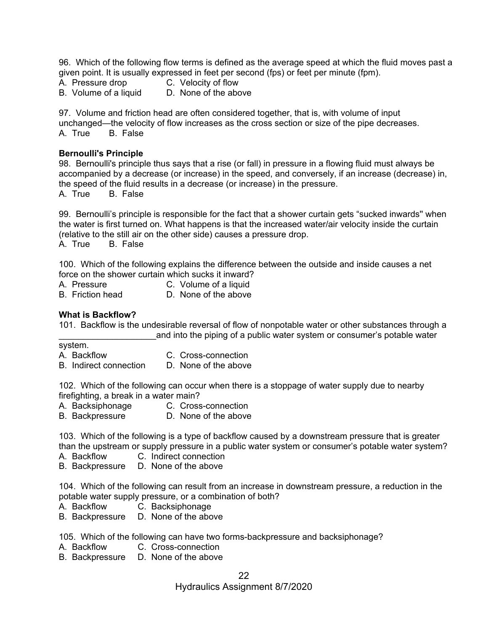96. Which of the following flow terms is defined as the average speed at which the fluid moves past a given point. It is usually expressed in feet per second (fps) or feet per minute (fpm).

- A. Pressure drop C. Velocity of flow
	-
- B. Volume of a liquid D. None of the above

97. Volume and friction head are often considered together, that is, with volume of input unchanged—the velocity of flow increases as the cross section or size of the pipe decreases. A. True B. False

#### **Bernoulli's Principle**

98. Bernoulli's principle thus says that a rise (or fall) in pressure in a flowing fluid must always be accompanied by a decrease (or increase) in the speed, and conversely, if an increase (decrease) in, the speed of the fluid results in a decrease (or increase) in the pressure.

A. True B. False

99. Bernoulli's principle is responsible for the fact that a shower curtain gets "sucked inwards'' when the water is first turned on. What happens is that the increased water/air velocity inside the curtain (relative to the still air on the other side) causes a pressure drop.

A. True B. False

100. Which of the following explains the difference between the outside and inside causes a net force on the shower curtain which sucks it inward?

- A. Pressure C. Volume of a liquid
- B. Friction head D. None of the above

#### **What is Backflow?**

101. Backflow is the undesirable reversal of flow of nonpotable water or other substances through a and into the piping of a public water system or consumer's potable water

system.

- A. Backflow C. Cross-connection
- B. Indirect connection D. None of the above

102. Which of the following can occur when there is a stoppage of water supply due to nearby firefighting, a break in a water main?

- A. Backsiphonage C. Cross-connection
- B. Backpressure D. None of the above

103. Which of the following is a type of backflow caused by a downstream pressure that is greater than the upstream or supply pressure in a public water system or consumer's potable water system?

- A. Backflow C. Indirect connection
- B. Backpressure D. None of the above

104. Which of the following can result from an increase in downstream pressure, a reduction in the potable water supply pressure, or a combination of both?

- A. Backflow C. Backsiphonage
- B. Backpressure D. None of the above

105. Which of the following can have two forms-backpressure and backsiphonage?

- A. Backflow C. Cross-connection
- B. Backpressure D. None of the above

Hydraulics Assignment 8/7/2020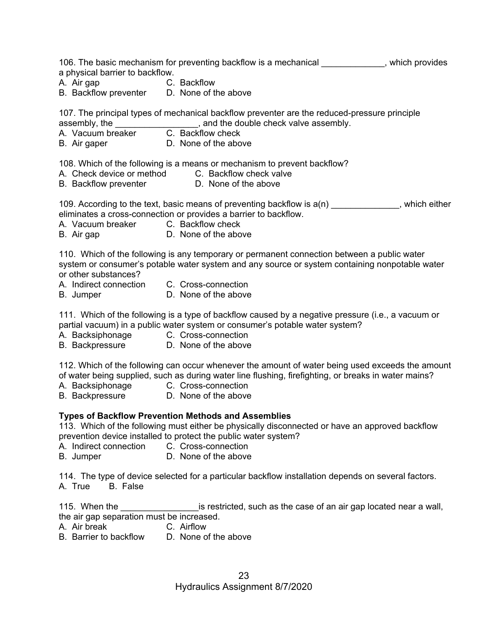106. The basic mechanism for preventing backflow is a mechanical \_\_\_\_\_\_\_\_\_\_\_\_\_, which provides a physical barrier to backflow.

- A. Air gap C. Backflow
- B. Backflow preventer D. None of the above

107. The principal types of mechanical backflow preventer are the reduced-pressure principle assembly, the \_\_\_\_\_\_\_\_\_\_\_\_\_\_\_\_\_, and the double check valve assembly.

- A. Vacuum breaker C. Backflow check
- B. Air gaper D. None of the above

108. Which of the following is a means or mechanism to prevent backflow?

- A. Check device or method C. Backflow check valve
- B. Backflow preventer **D.** None of the above

109. According to the text, basic means of preventing backflow is  $a(n)$  \_\_\_\_\_\_\_\_\_\_\_\_, which either eliminates a cross-connection or provides a barrier to backflow.

- A. Vacuum breaker C. Backflow check
- B. Air gap D. None of the above

110. Which of the following is any temporary or permanent connection between a public water system or consumer's potable water system and any source or system containing nonpotable water or other substances?

- A. Indirect connection C. Cross-connection
- B. Jumper D. None of the above

111. Which of the following is a type of backflow caused by a negative pressure (i.e., a vacuum or partial vacuum) in a public water system or consumer's potable water system?

- A. Backsiphonage C. Cross-connection
- B. Backpressure D. None of the above

112. Which of the following can occur whenever the amount of water being used exceeds the amount of water being supplied, such as during water line flushing, firefighting, or breaks in water mains?

- 
- A. Backsiphonage C. Cross-connection<br>B. Backpressure D. None of the above
- D. None of the above

#### **Types of Backflow Prevention Methods and Assemblies**

113. Which of the following must either be physically disconnected or have an approved backflow prevention device installed to protect the public water system?

- A. Indirect connection C. Cross-connection
- B. Jumper D. None of the above

114. The type of device selected for a particular backflow installation depends on several factors. A. True B. False

115. When the **the case of an air gap located near a wall**, the air gap separation must be increased.

- A. Air break C. Airflow
- B. Barrier to backflow D. None of the above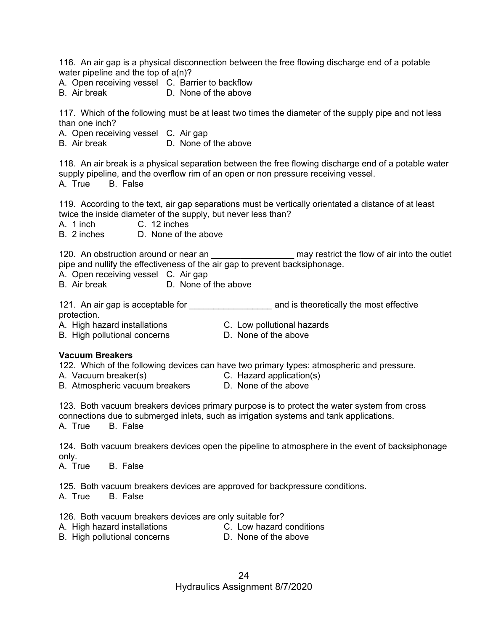116. An air gap is a physical disconnection between the free flowing discharge end of a potable water pipeline and the top of a(n)?

A. Open receiving vessel C. Barrier to backflow

B. Air break D. None of the above

117. Which of the following must be at least two times the diameter of the supply pipe and not less than one inch?

A. Open receiving vessel C. Air gap

B. Air break D. None of the above

118. An air break is a physical separation between the free flowing discharge end of a potable water supply pipeline, and the overflow rim of an open or non pressure receiving vessel. A. True B. False

119. According to the text, air gap separations must be vertically orientated a distance of at least twice the inside diameter of the supply, but never less than?

A. 1 inch C. 12 inches<br>B. 2 inches D. None of the

D. None of the above

120. An obstruction around or near an \_\_\_\_\_\_\_\_\_\_\_\_\_\_\_\_\_\_\_\_\_ may restrict the flow of air into the outlet pipe and nullify the effectiveness of the air gap to prevent backsiphonage.

A. Open receiving vessel C. Air gap

B. Air break D. None of the above

121. An air gap is acceptable for \_\_\_\_\_\_\_\_\_\_\_\_\_\_\_\_\_\_\_\_\_\_\_ and is theoretically the most effective protection.

- A. High hazard installations C. Low pollutional hazards
- B. High pollutional concerns D. None of the above

### **Vacuum Breakers**

122. Which of the following devices can have two primary types: atmospheric and pressure.

- A. Vacuum breaker(s) C. Hazard application(s)
- B. Atmospheric vacuum breakers **D. None of the above**
- 

123. Both vacuum breakers devices primary purpose is to protect the water system from cross connections due to submerged inlets, such as irrigation systems and tank applications.

A. True B. False

124. Both vacuum breakers devices open the pipeline to atmosphere in the event of backsiphonage only.

A. True B. False

125. Both vacuum breakers devices are approved for backpressure conditions. A. True B. False

126. Both vacuum breakers devices are only suitable for?

- A. High hazard installations C. Low hazard conditions
	-
- B. High pollutional concerns **D. None of the above** 
	-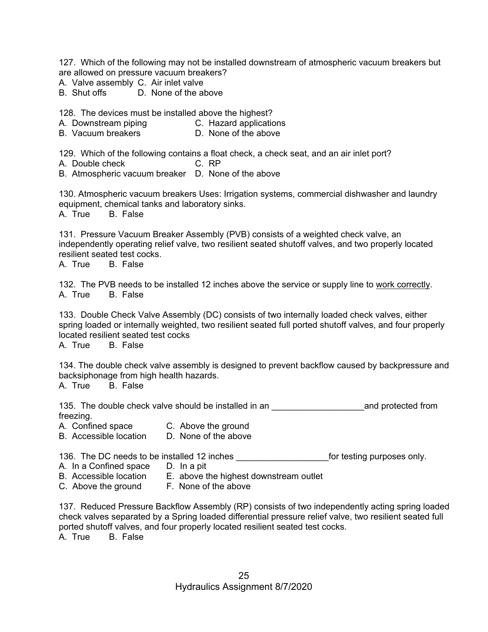127. Which of the following may not be installed downstream of atmospheric vacuum breakers but are allowed on pressure vacuum breakers?

- A. Valve assembly C. Air inlet valve
- B. Shut offs D. None of the above

128. The devices must be installed above the highest?

- A. Downstream piping C. Hazard applications
- B. Vacuum breakers **D. None of the above**

129. Which of the following contains a float check, a check seat, and an air inlet port?

- A. Double check C. RP
- B. Atmospheric vacuum breaker D. None of the above

130. Atmospheric vacuum breakers Uses: Irrigation systems, commercial dishwasher and laundry equipment, chemical tanks and laboratory sinks.

A. True B. False

131. Pressure Vacuum Breaker Assembly (PVB) consists of a weighted check valve, an independently operating relief valve, two resilient seated shutoff valves, and two properly located resilient seated test cocks.

A. True B. False

132. The PVB needs to be installed 12 inches above the service or supply line to work correctly. A. True B. False

133. Double Check Valve Assembly (DC) consists of two internally loaded check valves, either spring loaded or internally weighted, two resilient seated full ported shutoff valves, and four properly located resilient seated test cocks

A. True B. False

134. The double check valve assembly is designed to prevent backflow caused by backpressure and backsiphonage from high health hazards.

A. True B. False

135. The double check valve should be installed in an \_\_\_\_\_\_\_\_\_\_\_\_\_\_\_\_\_\_\_and protected from freezing.

- A. Confined space C. Above the ground
- B. Accessible location D. None of the above

136. The DC needs to be installed 12 inches **the end-only of the inches** for testing purposes only.

- A. In a Confined space D. In a pit<br>B. Accessible location E. above t
	- E. above the highest downstream outlet
- 
- C. Above the ground F. None of the above

137. Reduced Pressure Backflow Assembly (RP) consists of two independently acting spring loaded check valves separated by a Spring loaded differential pressure relief valve, two resilient seated full ported shutoff valves, and four properly located resilient seated test cocks. A. True B. False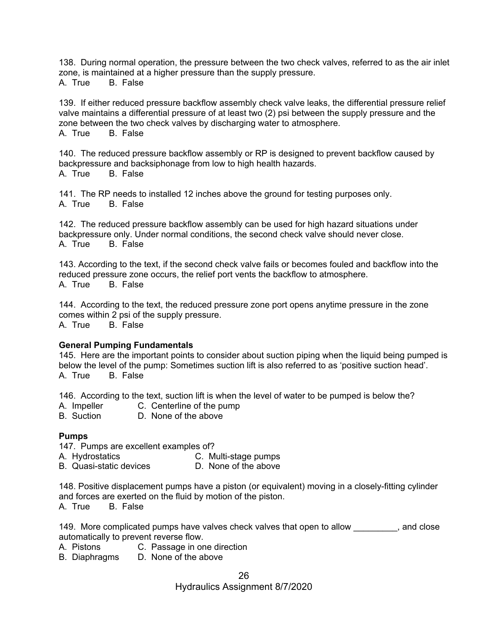138. During normal operation, the pressure between the two check valves, referred to as the air inlet zone, is maintained at a higher pressure than the supply pressure. A. True B. False

139. If either reduced pressure backflow assembly check valve leaks, the differential pressure relief valve maintains a differential pressure of at least two (2) psi between the supply pressure and the zone between the two check valves by discharging water to atmosphere. A. True B. False

140. The reduced pressure backflow assembly or RP is designed to prevent backflow caused by backpressure and backsiphonage from low to high health hazards. A. True B. False

141. The RP needs to installed 12 inches above the ground for testing purposes only. A. True B. False

142. The reduced pressure backflow assembly can be used for high hazard situations under backpressure only. Under normal conditions, the second check valve should never close. A. True B. False

143. According to the text, if the second check valve fails or becomes fouled and backflow into the reduced pressure zone occurs, the relief port vents the backflow to atmosphere. A. True B. False

144. According to the text, the reduced pressure zone port opens anytime pressure in the zone comes within 2 psi of the supply pressure.

A. True B. False

#### **General Pumping Fundamentals**

145. Here are the important points to consider about suction piping when the liquid being pumped is below the level of the pump: Sometimes suction lift is also referred to as 'positive suction head'. A. True B. False

146. According to the text, suction lift is when the level of water to be pumped is below the?

- A. Impeller C. Centerline of the pump
- B. Suction D. None of the above

#### **Pumps**

147. Pumps are excellent examples of?

- A. Hydrostatics **C. Multi-stage pumps**<br>B. Quasi-static devices **C. None of the above**
- B. Quasi-static devices

148. Positive displacement pumps have a piston (or equivalent) moving in a closely-fitting cylinder and forces are exerted on the fluid by motion of the piston. A. True B. False

149. More complicated pumps have valves check valves that open to allow same complicated pumps have valves check valves that open to allow automatically to prevent reverse flow.

A. Pistons C. Passage in one direction

B. Diaphragms D. None of the above

Hydraulics Assignment 8/7/2020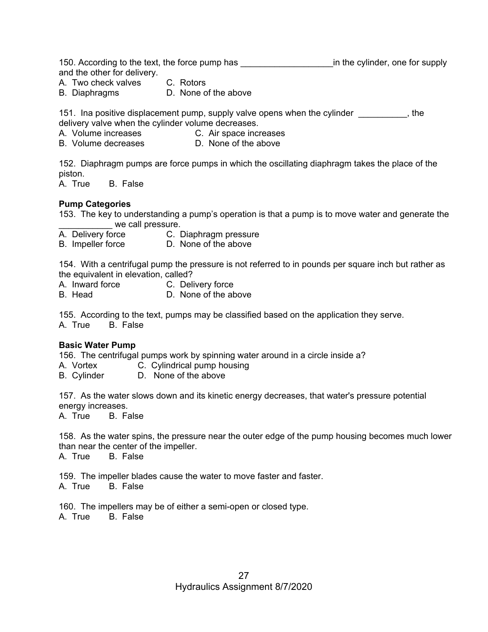150. According to the text, the force pump has \_\_\_\_\_\_\_\_\_\_\_\_\_\_\_\_\_\_\_\_\_\_\_\_\_\_\_\_\_\_\_\_\_\_in the cylinder, one for supply and the other for delivery.

A. Two check valves C. Rotors

B. Diaphragms D. None of the above

151. Ina positive displacement pump, supply valve opens when the cylinder  $\qquad \qquad$ , the delivery valve when the cylinder volume decreases.

A. Volume increases C. Air space increases

B. Volume decreases **D.** None of the above

152. Diaphragm pumps are force pumps in which the oscillating diaphragm takes the place of the piston.

A. True B. False

## **Pump Categories**

153. The key to understanding a pump's operation is that a pump is to move water and generate the we call pressure.<br>A. Delivery force **C.** I

- C. Diaphragm pressure
- B. Impeller force D. None of the above

154. With a centrifugal pump the pressure is not referred to in pounds per square inch but rather as the equivalent in elevation, called?

- A. Inward force C. Delivery force
- B. Head D. None of the above

155. According to the text, pumps may be classified based on the application they serve. A. True B. False

#### **Basic Water Pump**

156. The centrifugal pumps work by spinning water around in a circle inside a?

A. Vortex **C. Cylindrical pump housing** 

B. Cylinder D. None of the above

157. As the water slows down and its kinetic energy decreases, that water's pressure potential energy increases.

A. True B. False

158. As the water spins, the pressure near the outer edge of the pump housing becomes much lower than near the center of the impeller.<br>A. True B. False

A. True

159. The impeller blades cause the water to move faster and faster. A. True B. False

160. The impellers may be of either a semi-open or closed type. A. True B. False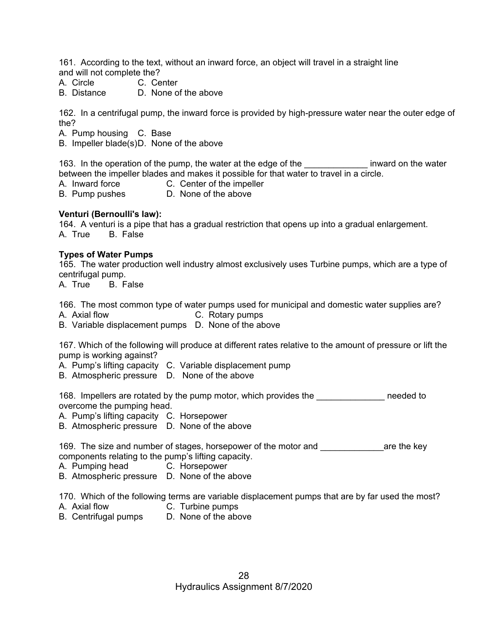161. According to the text, without an inward force, an object will travel in a straight line and will not complete the?

- A. Circle C. Center
- B. Distance D. None of the above

162. In a centrifugal pump, the inward force is provided by high-pressure water near the outer edge of the?

A. Pump housing C. Base

B. Impeller blade(s) D. None of the above

163. In the operation of the pump, the water at the edge of the the state inward on the water between the impeller blades and makes it possible for that water to travel in a circle.

- A. Inward force C. Center of the impeller
- B. Pump pushes D. None of the above

#### **Venturi (Bernoulli's law):**

164. A venturi is a pipe that has a gradual restriction that opens up into a gradual enlargement. A. True B. False

#### **Types of Water Pumps**

165. The water production well industry almost exclusively uses Turbine pumps, which are a type of centrifugal pump.

A. True B. False

166. The most common type of water pumps used for municipal and domestic water supplies are? A. Axial flow C. Rotary pumps

B. Variable displacement pumps D. None of the above

167. Which of the following will produce at different rates relative to the amount of pressure or lift the pump is working against?

A. Pump's lifting capacity C. Variable displacement pump

B. Atmospheric pressure D. None of the above

168. Impellers are rotated by the pump motor, which provides the **needed** to overcome the pumping head.

A. Pump's lifting capacity C. Horsepower

B. Atmospheric pressure D. None of the above

169. The size and number of stages, horsepower of the motor and **the sexual and** are the key components relating to the pump's lifting capacity.

A. Pumping head C. Horsepower

B. Atmospheric pressure D. None of the above

170. Which of the following terms are variable displacement pumps that are by far used the most?

- A. Axial flow C. Turbine pumps
- B. Centrifugal pumps D. None of the above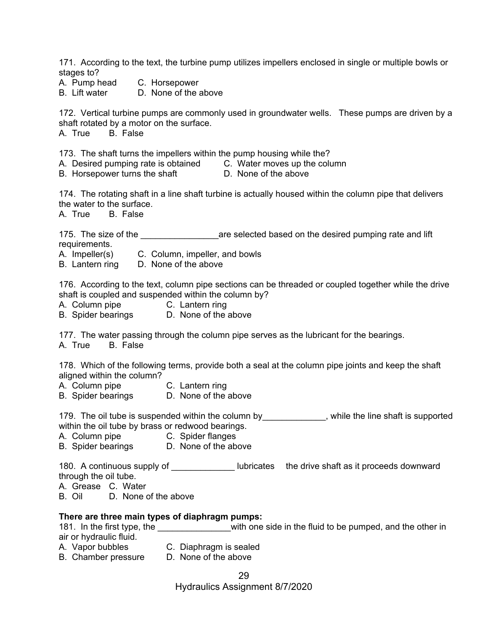171. According to the text, the turbine pump utilizes impellers enclosed in single or multiple bowls or stages to? A. Pump head C. Horsepower

B. Lift water D. None of the above

172. Vertical turbine pumps are commonly used in groundwater wells. These pumps are driven by a shaft rotated by a motor on the surface.

A. True B. False

173. The shaft turns the impellers within the pump housing while the?

A. Desired pumping rate is obtained C. Water moves up the column

B. Horsepower turns the shaft **D. None of the above** 

174. The rotating shaft in a line shaft turbine is actually housed within the column pipe that delivers the water to the surface.

A. True B. False

175. The size of the **the size of the selected based on the desired pumping rate and lift** requirements.

A. Impeller(s) C. Column, impeller, and bowls

B. Lantern ring D. None of the above

176. According to the text, column pipe sections can be threaded or coupled together while the drive shaft is coupled and suspended within the column by?

- A. Column pipe C. Lantern ring
- B. Spider bearings D. None of the above

177. The water passing through the column pipe serves as the lubricant for the bearings. A. True B. False

178. Which of the following terms, provide both a seal at the column pipe joints and keep the shaft aligned within the column?

A. Column pipe C. Lantern ring

B. Spider bearings D. None of the above

179. The oil tube is suspended within the column by \_\_\_\_\_\_\_\_\_\_\_\_\_, while the line shaft is supported within the oil tube by brass or redwood bearings.

A. Column pipe C. Spider flanges

B. Spider bearings D. None of the above

180. A continuous supply of **Example 20** lubricates the drive shaft as it proceeds downward through the oil tube.

- A. Grease C. Water
- B. Oil D. None of the above

### **There are three main types of diaphragm pumps:**

181. In the first type, the \_\_\_\_\_\_\_\_\_\_\_\_\_\_\_\_with one side in the fluid to be pumped, and the other in air or hydraulic fluid.

- 
- A. Vapor bubbles C. Diaphragm is sealed
- B. Chamber pressure D. None of the above

Hydraulics Assignment 8/7/2020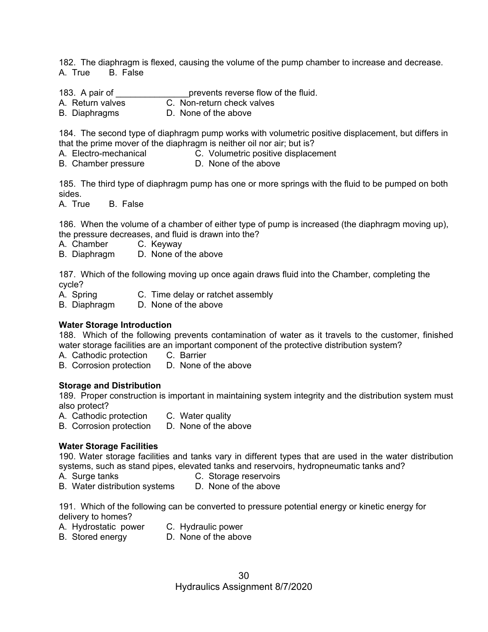182. The diaphragm is flexed, causing the volume of the pump chamber to increase and decrease. A. True B. False

183. A pair of **the contract of the fluid.** prevents reverse flow of the fluid.

- A. Return valves C. Non-return check valves
- B. Diaphragms D. None of the above

184. The second type of diaphragm pump works with volumetric positive displacement, but differs in that the prime mover of the diaphragm is neither oil nor air; but is?

- A. Electro-mechanical C. Volumetric positive displacement
- B. Chamber pressure D. None of the above

185. The third type of diaphragm pump has one or more springs with the fluid to be pumped on both sides.

A. True B. False

186. When the volume of a chamber of either type of pump is increased (the diaphragm moving up), the pressure decreases, and fluid is drawn into the?

A. Chamber C. Keyway

B. Diaphragm D. None of the above

187. Which of the following moving up once again draws fluid into the Chamber, completing the cycle?

- A. Spring C. Time delay or ratchet assembly
- B. Diaphragm D. None of the above

#### **Water Storage Introduction**

188. Which of the following prevents contamination of water as it travels to the customer, finished water storage facilities are an important component of the protective distribution system?

A. Cathodic protection C. Barrier

B. Corrosion protection D. None of the above

#### **Storage and Distribution**

189. Proper construction is important in maintaining system integrity and the distribution system must also protect?

- A. Cathodic protection C. Water quality
- B. Corrosion protection D. None of the above

#### **Water Storage Facilities**

190. Water storage facilities and tanks vary in different types that are used in the water distribution systems, such as stand pipes, elevated tanks and reservoirs, hydropneumatic tanks and?

- 
- A.Surge tanks C. Storage reservoirs
- B. Water distribution systems D. None of the above

191. Which of the following can be converted to pressure potential energy or kinetic energy for delivery to homes?

- A. Hydrostatic power C. Hydraulic power
- B. Stored energy **D. None of the above**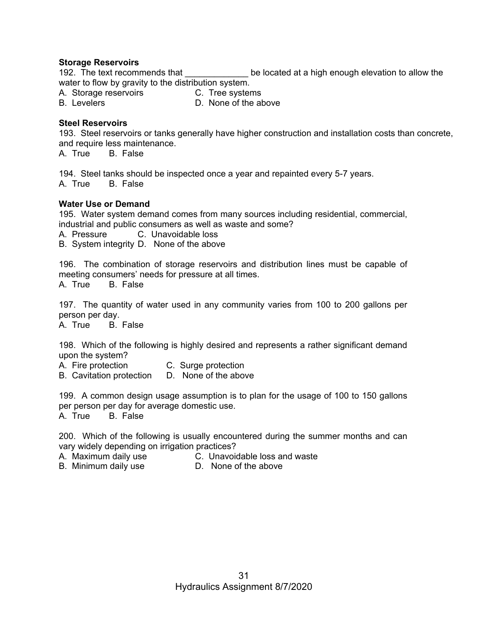#### **Storage Reservoirs**

192. The text recommends that The state of the located at a high enough elevation to allow the water to flow by gravity to the distribution system.

A. Storage reservoirs **C. Tree systems** 

B. Levelers **D. None of the above** 

#### **Steel Reservoirs**

193. Steel reservoirs or tanks generally have higher construction and installation costs than concrete, and require less maintenance.

A. True B. False

194. Steel tanks should be inspected once a year and repainted every 5-7 years. A. True B. False

#### **Water Use or Demand**

195. Water system demand comes from many sources including residential, commercial, industrial and public consumers as well as waste and some?

A. Pressure C. Unavoidable loss

B. System integrity D. None of the above

196. The combination of storage reservoirs and distribution lines must be capable of meeting consumers' needs for pressure at all times.

A. True B. False

197. The quantity of water used in any community varies from 100 to 200 gallons per person per day.<br>A. True B. False

A. True

198. Which of the following is highly desired and represents a rather significant demand upon the system?

A. Fire protection C. Surge protection

B. Cavitation protection D. None of the above

199. A common design usage assumption is to plan for the usage of 100 to 150 gallons per person per day for average domestic use. A. True B. False

200. Which of the following is usually encountered during the summer months and can vary widely depending on irrigation practices?

A. Maximum daily use C. Unavoidable loss and waste

B. Minimum daily use D. None of the above